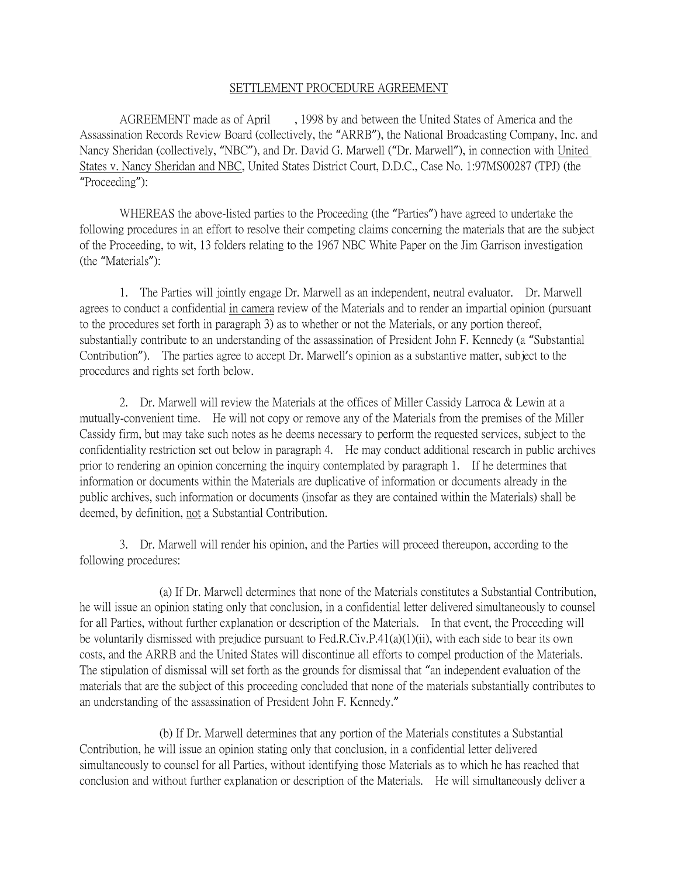## SETTLEMENT PROCEDURE AGREEMENT

AGREEMENT made as of April , 1998 by and between the United States of America and the Assassination Records Review Board (collectively, the "ARRB"), the National Broadcasting Company, Inc. and Nancy Sheridan (collectively, "NBC"), and Dr. David G. Marwell ("Dr. Marwell"), in connection with United States v. Nancy Sheridan and NBC, United States District Court, D.D.C., Case No. 1:97MS00287 (TPJ) (the "Proceeding"):

WHEREAS the above-listed parties to the Proceeding (the "Parties") have agreed to undertake the following procedures in an effort to resolve their competing claims concerning the materials that are the subject of the Proceeding, to wit, 13 folders relating to the 1967 NBC White Paper on the Jim Garrison investigation (the "Materials"):

1. The Parties will jointly engage Dr. Marwell as an independent, neutral evaluator. Dr. Marwell agrees to conduct a confidential in camera review of the Materials and to render an impartial opinion (pursuant to the procedures set forth in paragraph 3) as to whether or not the Materials, or any portion thereof, substantially contribute to an understanding of the assassination of President John F. Kennedy (a "Substantial Contribution"). The parties agree to accept Dr. Marwell's opinion as a substantive matter, subject to the procedures and rights set forth below.

2. Dr. Marwell will review the Materials at the offices of Miller Cassidy Larroca & Lewin at a mutually-convenient time. He will not copy or remove any of the Materials from the premises of the Miller Cassidy firm, but may take such notes as he deems necessary to perform the requested services, subject to the confidentiality restriction set out below in paragraph 4. He may conduct additional research in public archives prior to rendering an opinion concerning the inquiry contemplated by paragraph 1. If he determines that information or documents within the Materials are duplicative of information or documents already in the public archives, such information or documents (insofar as they are contained within the Materials) shall be deemed, by definition, not a Substantial Contribution.

3. Dr. Marwell will render his opinion, and the Parties will proceed thereupon, according to the following procedures:

(a) If Dr. Marwell determines that none of the Materials constitutes a Substantial Contribution, he will issue an opinion stating only that conclusion, in a confidential letter delivered simultaneously to counsel for all Parties, without further explanation or description of the Materials. In that event, the Proceeding will be voluntarily dismissed with prejudice pursuant to Fed.R.Civ.P.41(a)(1)(ii), with each side to bear its own costs, and the ARRB and the United States will discontinue all efforts to compel production of the Materials. The stipulation of dismissal will set forth as the grounds for dismissal that "an independent evaluation of the materials that are the subject of this proceeding concluded that none of the materials substantially contributes to an understanding of the assassination of President John F. Kennedy."

(b) If Dr. Marwell determines that any portion of the Materials constitutes a Substantial Contribution, he will issue an opinion stating only that conclusion, in a confidential letter delivered simultaneously to counsel for all Parties, without identifying those Materials as to which he has reached that conclusion and without further explanation or description of the Materials. He will simultaneously deliver a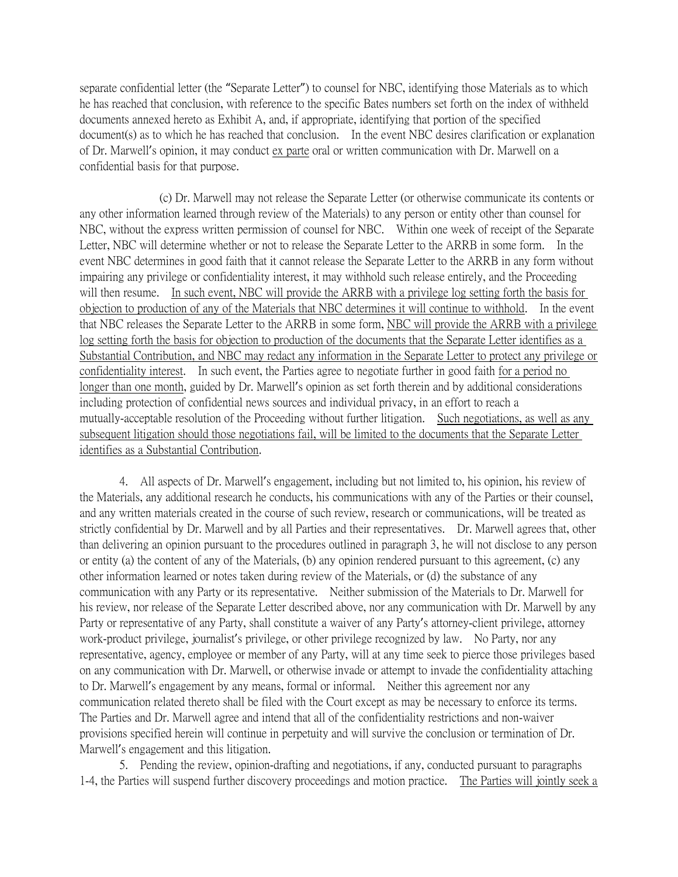separate confidential letter (the "Separate Letter") to counsel for NBC, identifying those Materials as to which he has reached that conclusion, with reference to the specific Bates numbers set forth on the index of withheld documents annexed hereto as Exhibit A, and, if appropriate, identifying that portion of the specified document(s) as to which he has reached that conclusion. In the event NBC desires clarification or explanation of Dr. Marwell's opinion, it may conduct ex parte oral or written communication with Dr. Marwell on a confidential basis for that purpose.

(c) Dr. Marwell may not release the Separate Letter (or otherwise communicate its contents or any other information learned through review of the Materials) to any person or entity other than counsel for NBC, without the express written permission of counsel for NBC. Within one week of receipt of the Separate Letter, NBC will determine whether or not to release the Separate Letter to the ARRB in some form. In the event NBC determines in good faith that it cannot release the Separate Letter to the ARRB in any form without impairing any privilege or confidentiality interest, it may withhold such release entirely, and the Proceeding will then resume. In such event, NBC will provide the ARRB with a privilege log setting forth the basis for objection to production of any of the Materials that NBC determines it will continue to withhold. In the event that NBC releases the Separate Letter to the ARRB in some form, NBC will provide the ARRB with a privilege log setting forth the basis for objection to production of the documents that the Separate Letter identifies as a Substantial Contribution, and NBC may redact any information in the Separate Letter to protect any privilege or confidentiality interest. In such event, the Parties agree to negotiate further in good faith for a period no longer than one month, guided by Dr. Marwell's opinion as set forth therein and by additional considerations including protection of confidential news sources and individual privacy, in an effort to reach a mutually-acceptable resolution of the Proceeding without further litigation. Such negotiations, as well as any subsequent litigation should those negotiations fail, will be limited to the documents that the Separate Letter identifies as a Substantial Contribution.

4. All aspects of Dr. Marwell's engagement, including but not limited to, his opinion, his review of the Materials, any additional research he conducts, his communications with any of the Parties or their counsel, and any written materials created in the course of such review, research or communications, will be treated as strictly confidential by Dr. Marwell and by all Parties and their representatives. Dr. Marwell agrees that, other than delivering an opinion pursuant to the procedures outlined in paragraph 3, he will not disclose to any person or entity (a) the content of any of the Materials, (b) any opinion rendered pursuant to this agreement, (c) any other information learned or notes taken during review of the Materials, or (d) the substance of any communication with any Party or its representative. Neither submission of the Materials to Dr. Marwell for his review, nor release of the Separate Letter described above, nor any communication with Dr. Marwell by any Party or representative of any Party, shall constitute a waiver of any Party's attorney-client privilege, attorney work-product privilege, journalist's privilege, or other privilege recognized by law. No Party, nor any representative, agency, employee or member of any Party, will at any time seek to pierce those privileges based on any communication with Dr. Marwell, or otherwise invade or attempt to invade the confidentiality attaching to Dr. Marwell's engagement by any means, formal or informal. Neither this agreement nor any communication related thereto shall be filed with the Court except as may be necessary to enforce its terms. The Parties and Dr. Marwell agree and intend that all of the confidentiality restrictions and non-waiver provisions specified herein will continue in perpetuity and will survive the conclusion or termination of Dr. Marwell's engagement and this litigation.

5. Pending the review, opinion-drafting and negotiations, if any, conducted pursuant to paragraphs 1-4, the Parties will suspend further discovery proceedings and motion practice. The Parties will jointly seek a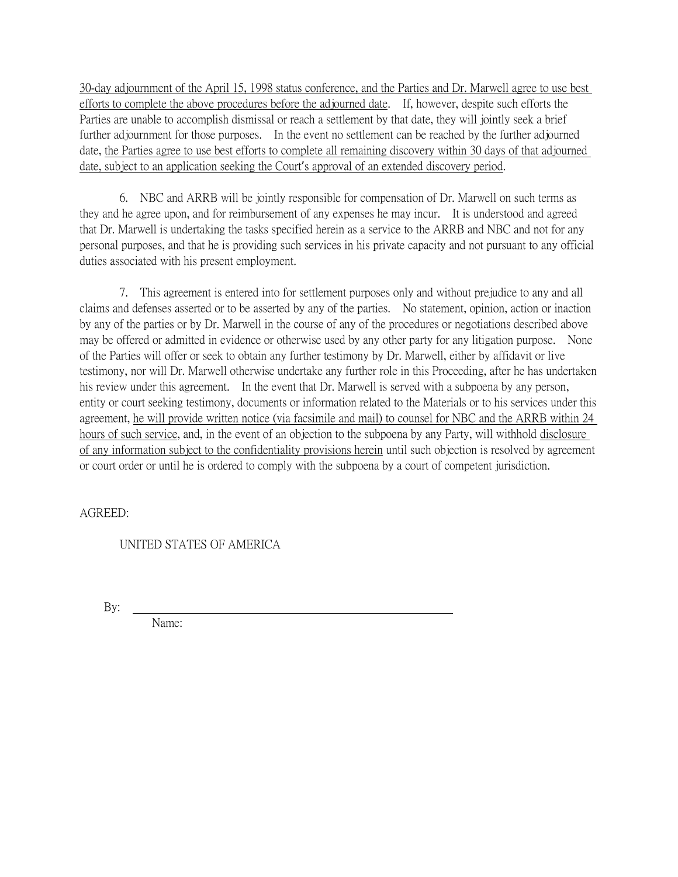30-day adjournment of the April 15, 1998 status conference, and the Parties and Dr. Marwell agree to use best efforts to complete the above procedures before the adjourned date. If, however, despite such efforts the Parties are unable to accomplish dismissal or reach a settlement by that date, they will jointly seek a brief further adjournment for those purposes. In the event no settlement can be reached by the further adjourned date, the Parties agree to use best efforts to complete all remaining discovery within 30 days of that adjourned date, subject to an application seeking the Court's approval of an extended discovery period.

6. NBC and ARRB will be jointly responsible for compensation of Dr. Marwell on such terms as they and he agree upon, and for reimbursement of any expenses he may incur. It is understood and agreed that Dr. Marwell is undertaking the tasks specified herein as a service to the ARRB and NBC and not for any personal purposes, and that he is providing such services in his private capacity and not pursuant to any official duties associated with his present employment.

7. This agreement is entered into for settlement purposes only and without prejudice to any and all claims and defenses asserted or to be asserted by any of the parties. No statement, opinion, action or inaction by any of the parties or by Dr. Marwell in the course of any of the procedures or negotiations described above may be offered or admitted in evidence or otherwise used by any other party for any litigation purpose. None of the Parties will offer or seek to obtain any further testimony by Dr. Marwell, either by affidavit or live testimony, nor will Dr. Marwell otherwise undertake any further role in this Proceeding, after he has undertaken his review under this agreement. In the event that Dr. Marwell is served with a subpoena by any person, entity or court seeking testimony, documents or information related to the Materials or to his services under this agreement, he will provide written notice (via facsimile and mail) to counsel for NBC and the ARRB within 24 hours of such service, and, in the event of an objection to the subpoena by any Party, will withhold disclosure of any information subject to the confidentiality provisions herein until such objection is resolved by agreement or court order or until he is ordered to comply with the subpoena by a court of competent jurisdiction.

AGREED:

UNITED STATES OF AMERICA

By:

Name: